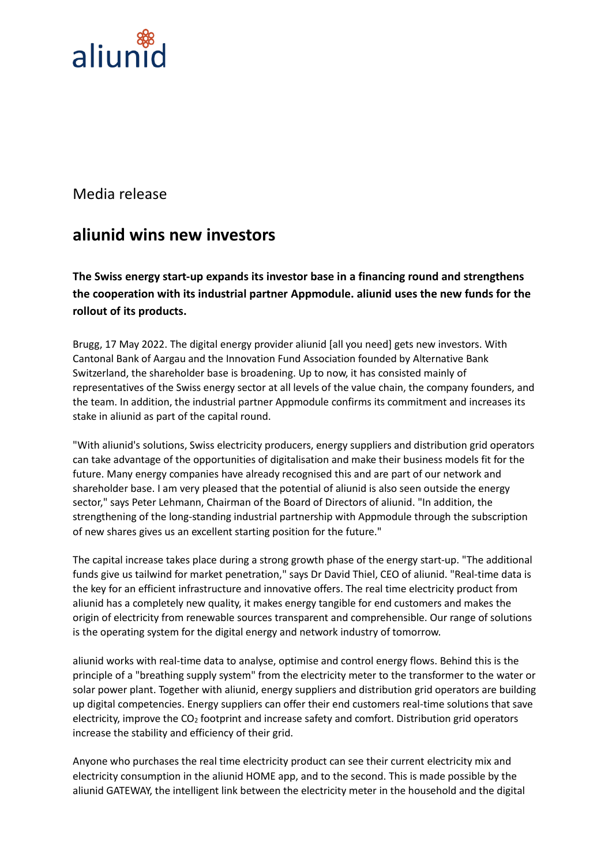

Media release

## **aliunid wins new investors**

**The Swiss energy start-up expands its investor base in a financing round and strengthens the cooperation with its industrial partner Appmodule. aliunid uses the new funds for the rollout of its products.**

Brugg, 17 May 2022. The digital energy provider aliunid [all you need] gets new investors. With Cantonal Bank of Aargau and the Innovation Fund Association founded by Alternative Bank Switzerland, the shareholder base is broadening. Up to now, it has consisted mainly of representatives of the Swiss energy sector at all levels of the value chain, the company founders, and the team. In addition, the industrial partner Appmodule confirms its commitment and increases its stake in aliunid as part of the capital round.

"With aliunid's solutions, Swiss electricity producers, energy suppliers and distribution grid operators can take advantage of the opportunities of digitalisation and make their business models fit for the future. Many energy companies have already recognised this and are part of our network and shareholder base. I am very pleased that the potential of aliunid is also seen outside the energy sector," says Peter Lehmann, Chairman of the Board of Directors of aliunid. "In addition, the strengthening of the long-standing industrial partnership with Appmodule through the subscription of new shares gives us an excellent starting position for the future."

The capital increase takes place during a strong growth phase of the energy start-up. "The additional funds give us tailwind for market penetration," says Dr David Thiel, CEO of aliunid. "Real-time data is the key for an efficient infrastructure and innovative offers. The real time electricity product from aliunid has a completely new quality, it makes energy tangible for end customers and makes the origin of electricity from renewable sources transparent and comprehensible. Our range of solutions is the operating system for the digital energy and network industry of tomorrow.

aliunid works with real-time data to analyse, optimise and control energy flows. Behind this is the principle of a "breathing supply system" from the electricity meter to the transformer to the water or solar power plant. Together with aliunid, energy suppliers and distribution grid operators are building up digital competencies. Energy suppliers can offer their end customers real-time solutions that save electricity, improve the  $CO<sub>2</sub>$  footprint and increase safety and comfort. Distribution grid operators increase the stability and efficiency of their grid.

Anyone who purchases the real time electricity product can see their current electricity mix and electricity consumption in the aliunid HOME app, and to the second. This is made possible by the aliunid GATEWAY, the intelligent link between the electricity meter in the household and the digital